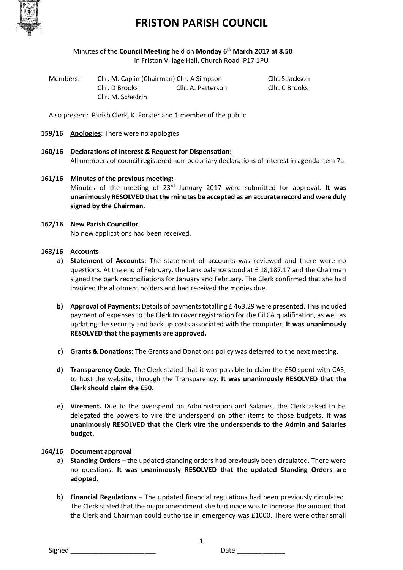

### **FRISTON PARISH COUNCIL**

#### Minutes of the **Council Meeting** held on **Monday 6th March 2017 at 8.50** in Friston Village Hall, Church Road IP17 1PU

| Members: | Cllr. M. Caplin (Chairman) Cllr. A Simpson |                    | Cllr. S Jackson |
|----------|--------------------------------------------|--------------------|-----------------|
|          | Cllr. D Brooks                             | Cllr. A. Patterson | Cllr. C Brooks  |
|          | Cllr. M. Schedrin                          |                    |                 |

Also present: Parish Clerk, K. Forster and 1 member of the public

- **159/16 Apologies**: There were no apologies
- **160/16 Declarations of Interest & Request for Dispensation:** All members of council registered non-pecuniary declarations of interest in agenda item 7a.
- **161/16 Minutes of the previous meeting:**  Minutes of the meeting of 23rd January 2017 were submitted for approval. **It was unanimously RESOLVED that the minutes be accepted as an accurate record and were duly signed by the Chairman.**
- **162/16 New Parish Councillor** No new applications had been received.

#### **163/16 Accounts**

- **a) Statement of Accounts:** The statement of accounts was reviewed and there were no questions. At the end of February, the bank balance stood at £ 18,187.17 and the Chairman signed the bank reconciliations for January and February. The Clerk confirmed that she had invoiced the allotment holders and had received the monies due.
- **b) Approval of Payments:** Details of payments totalling £ 463.29 were presented. This included payment of expenses to the Clerk to cover registration for the CiLCA qualification, as well as updating the security and back up costs associated with the computer. **It was unanimously RESOLVED that the payments are approved.**
- **c) Grants & Donations:** The Grants and Donations policy was deferred to the next meeting.
- **d) Transparency Code.** The Clerk stated that it was possible to claim the £50 spent with CAS, to host the website, through the Transparency. **It was unanimously RESOLVED that the Clerk should claim the £50.**
- **e) Virement.** Due to the overspend on Administration and Salaries, the Clerk asked to be delegated the powers to vire the underspend on other items to those budgets. **It was unanimously RESOLVED that the Clerk vire the underspends to the Admin and Salaries budget.**

#### **164/16 Document approval**

- **a) Standing Orders –** the updated standing orders had previously been circulated. There were no questions. **It was unanimously RESOLVED that the updated Standing Orders are adopted.**
- **b) Financial Regulations –** The updated financial regulations had been previously circulated. The Clerk stated that the major amendment she had made was to increase the amount that the Clerk and Chairman could authorise in emergency was £1000. There were other small

1

Signed \_\_\_\_\_\_\_\_\_\_\_\_\_\_\_\_\_\_\_\_\_\_\_ Date \_\_\_\_\_\_\_\_\_\_\_\_\_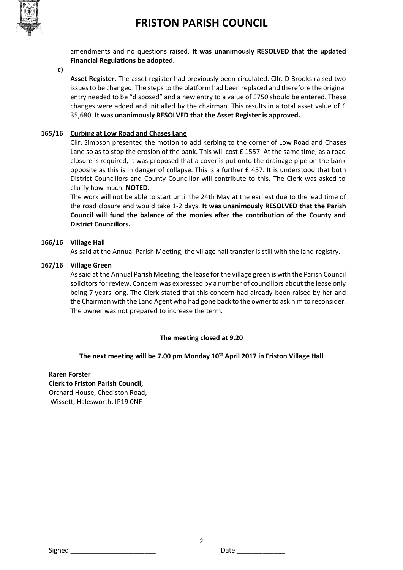### **FRISTON PARISH COUNCIL**



amendments and no questions raised. **It was unanimously RESOLVED that the updated Financial Regulations be adopted.** 

**c)**

**Asset Register.** The asset register had previously been circulated. Cllr. D Brooks raised two issues to be changed. The steps to the platform had been replaced and therefore the original entry needed to be "disposed" and a new entry to a value of £750 should be entered. These changes were added and initialled by the chairman. This results in a total asset value of £ 35,680. **It was unanimously RESOLVED that the Asset Register is approved.** 

#### **165/16 Curbing at Low Road and Chases Lane**

Cllr. Simpson presented the motion to add kerbing to the corner of Low Road and Chases Lane so as to stop the erosion of the bank. This will cost  $E$  1557. At the same time, as a road closure is required, it was proposed that a cover is put onto the drainage pipe on the bank opposite as this is in danger of collapse. This is a further £ 457. It is understood that both District Councillors and County Councillor will contribute to this. The Clerk was asked to clarify how much. **NOTED.** 

The work will not be able to start until the 24th May at the earliest due to the lead time of the road closure and would take 1-2 days. **It was unanimously RESOLVED that the Parish Council will fund the balance of the monies after the contribution of the County and District Councillors.** 

#### **166/16 Village Hall**

As said at the Annual Parish Meeting, the village hall transfer is still with the land registry.

#### **167/16 Village Green**

As said at the Annual Parish Meeting, the lease for the village green is with the Parish Council solicitors for review. Concern was expressed by a number of councillors about the lease only being 7 years long. The Clerk stated that this concern had already been raised by her and the Chairman with the Land Agent who had gone back to the owner to ask him to reconsider. The owner was not prepared to increase the term.

#### **The meeting closed at 9.20**

#### **The next meeting will be 7.00 pm Monday 10th April 2017 in Friston Village Hall**

2

#### **Karen Forster Clerk to Friston Parish Council,**  Orchard House, Chediston Road, Wissett, Halesworth, IP19 0NF

Signed \_\_\_\_\_\_\_\_\_\_\_\_\_\_\_\_\_\_\_\_\_\_\_ Date \_\_\_\_\_\_\_\_\_\_\_\_\_